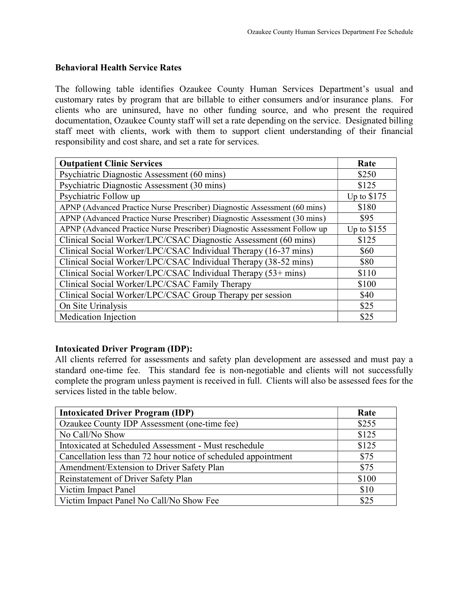### Behavioral Health Service Rates

The following table identifies Ozaukee County Human Services Department's usual and customary rates by program that are billable to either consumers and/or insurance plans. For clients who are uninsured, have no other funding source, and who present the required documentation, Ozaukee County staff will set a rate depending on the service. Designated billing staff meet with clients, work with them to support client understanding of their financial responsibility and cost share, and set a rate for services.

| <b>Outpatient Clinic Services</b>                                         | Rate         |
|---------------------------------------------------------------------------|--------------|
| Psychiatric Diagnostic Assessment (60 mins)                               | \$250        |
| Psychiatric Diagnostic Assessment (30 mins)                               | \$125        |
| Psychiatric Follow up                                                     | Up to $$175$ |
| APNP (Advanced Practice Nurse Prescriber) Diagnostic Assessment (60 mins) | \$180        |
| APNP (Advanced Practice Nurse Prescriber) Diagnostic Assessment (30 mins) | \$95         |
| APNP (Advanced Practice Nurse Prescriber) Diagnostic Assessment Follow up | Up to $$155$ |
| Clinical Social Worker/LPC/CSAC Diagnostic Assessment (60 mins)           | \$125        |
| Clinical Social Worker/LPC/CSAC Individual Therapy (16-37 mins)           | \$60         |
| Clinical Social Worker/LPC/CSAC Individual Therapy (38-52 mins)           | \$80         |
| Clinical Social Worker/LPC/CSAC Individual Therapy (53+ mins)             | \$110        |
| Clinical Social Worker/LPC/CSAC Family Therapy                            | \$100        |
| Clinical Social Worker/LPC/CSAC Group Therapy per session                 | \$40         |
| On Site Urinalysis                                                        | \$25         |
| <b>Medication Injection</b>                                               | \$25         |

### Intoxicated Driver Program (IDP):

All clients referred for assessments and safety plan development are assessed and must pay a standard one-time fee. This standard fee is non-negotiable and clients will not successfully complete the program unless payment is received in full. Clients will also be assessed fees for the services listed in the table below.

| <b>Intoxicated Driver Program (IDP)</b>                        | Rate  |
|----------------------------------------------------------------|-------|
| Ozaukee County IDP Assessment (one-time fee)                   | \$255 |
| No Call/No Show                                                | \$125 |
| Intoxicated at Scheduled Assessment - Must reschedule          | \$125 |
| Cancellation less than 72 hour notice of scheduled appointment | \$75  |
| Amendment/Extension to Driver Safety Plan                      | \$75  |
| Reinstatement of Driver Safety Plan                            | \$100 |
| Victim Impact Panel                                            | \$10  |
| Victim Impact Panel No Call/No Show Fee                        | \$25  |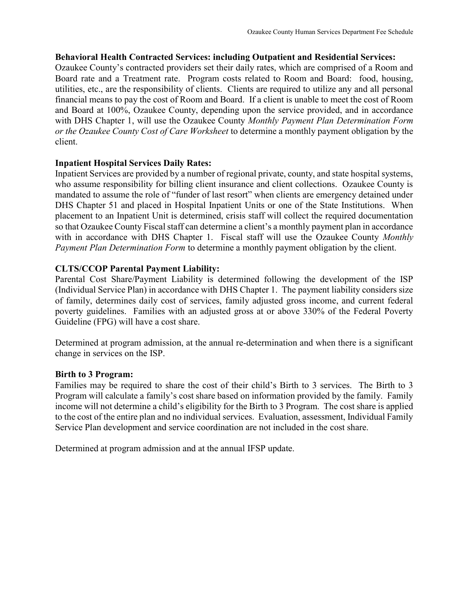## Behavioral Health Contracted Services: including Outpatient and Residential Services:

Ozaukee County's contracted providers set their daily rates, which are comprised of a Room and Board rate and a Treatment rate. Program costs related to Room and Board: food, housing, utilities, etc., are the responsibility of clients. Clients are required to utilize any and all personal financial means to pay the cost of Room and Board. If a client is unable to meet the cost of Room and Board at 100%, Ozaukee County, depending upon the service provided, and in accordance with DHS Chapter 1, will use the Ozaukee County Monthly Payment Plan Determination Form or the Ozaukee County Cost of Care Worksheet to determine a monthly payment obligation by the client.

## Inpatient Hospital Services Daily Rates:

Inpatient Services are provided by a number of regional private, county, and state hospital systems, who assume responsibility for billing client insurance and client collections. Ozaukee County is mandated to assume the role of "funder of last resort" when clients are emergency detained under DHS Chapter 51 and placed in Hospital Inpatient Units or one of the State Institutions. When placement to an Inpatient Unit is determined, crisis staff will collect the required documentation so that Ozaukee County Fiscal staff can determine a client's a monthly payment plan in accordance with in accordance with DHS Chapter 1. Fiscal staff will use the Ozaukee County Monthly Payment Plan Determination Form to determine a monthly payment obligation by the client.

# CLTS/CCOP Parental Payment Liability:

Parental Cost Share/Payment Liability is determined following the development of the ISP (Individual Service Plan) in accordance with DHS Chapter 1. The payment liability considers size of family, determines daily cost of services, family adjusted gross income, and current federal poverty guidelines. Families with an adjusted gross at or above 330% of the Federal Poverty Guideline (FPG) will have a cost share.

Determined at program admission, at the annual re-determination and when there is a significant change in services on the ISP.

# Birth to 3 Program:

Families may be required to share the cost of their child's Birth to 3 services. The Birth to 3 Program will calculate a family's cost share based on information provided by the family. Family income will not determine a child's eligibility for the Birth to 3 Program. The cost share is applied to the cost of the entire plan and no individual services. Evaluation, assessment, Individual Family Service Plan development and service coordination are not included in the cost share.

Determined at program admission and at the annual IFSP update.